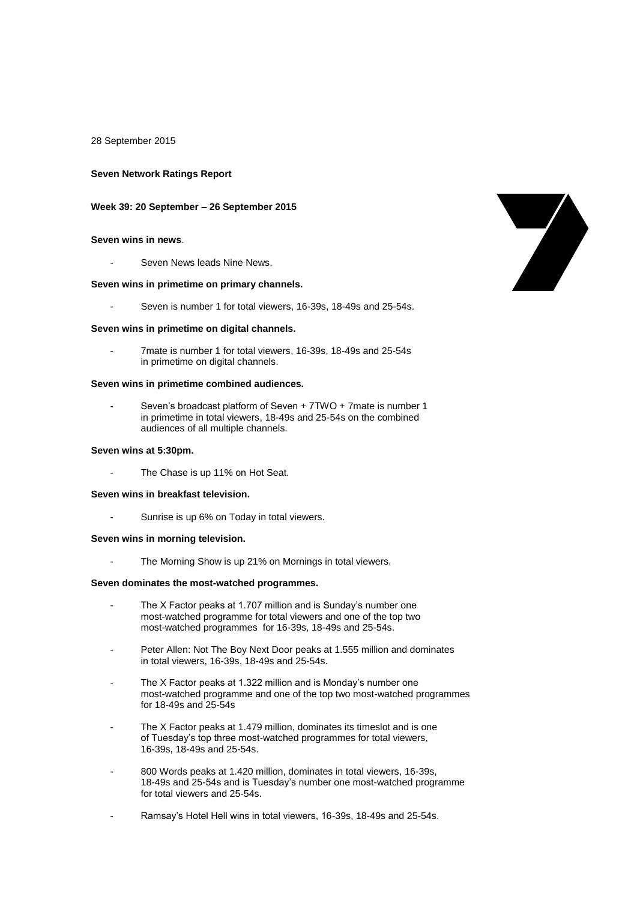28 September 2015

### **Seven Network Ratings Report**

#### **Week 39: 20 September – 26 September 2015**

### **Seven wins in news**.

Seven News leads Nine News.

#### **Seven wins in primetime on primary channels.**

Seven is number 1 for total viewers, 16-39s, 18-49s and 25-54s.

#### **Seven wins in primetime on digital channels.**

- 7mate is number 1 for total viewers, 16-39s, 18-49s and 25-54s in primetime on digital channels.

#### **Seven wins in primetime combined audiences.**

Seven's broadcast platform of Seven + 7TWO + 7mate is number 1 in primetime in total viewers, 18-49s and 25-54s on the combined audiences of all multiple channels.

# **Seven wins at 5:30pm.**

The Chase is up 11% on Hot Seat.

#### **Seven wins in breakfast television.**

Sunrise is up 6% on Today in total viewers.

#### **Seven wins in morning television.**

The Morning Show is up 21% on Mornings in total viewers.

#### **Seven dominates the most-watched programmes.**

- The X Factor peaks at 1.707 million and is Sunday's number one most-watched programme for total viewers and one of the top two most-watched programmes for 16-39s, 18-49s and 25-54s.
- Peter Allen: Not The Boy Next Door peaks at 1.555 million and dominates in total viewers, 16-39s, 18-49s and 25-54s.
- The X Factor peaks at 1.322 million and is Monday's number one most-watched programme and one of the top two most-watched programmes for 18-49s and 25-54s
- The X Factor peaks at 1.479 million, dominates its timeslot and is one of Tuesday's top three most-watched programmes for total viewers, 16-39s, 18-49s and 25-54s.
- 800 Words peaks at 1.420 million, dominates in total viewers, 16-39s, 18-49s and 25-54s and is Tuesday's number one most-watched programme for total viewers and 25-54s.
- Ramsay's Hotel Hell wins in total viewers, 16-39s, 18-49s and 25-54s.

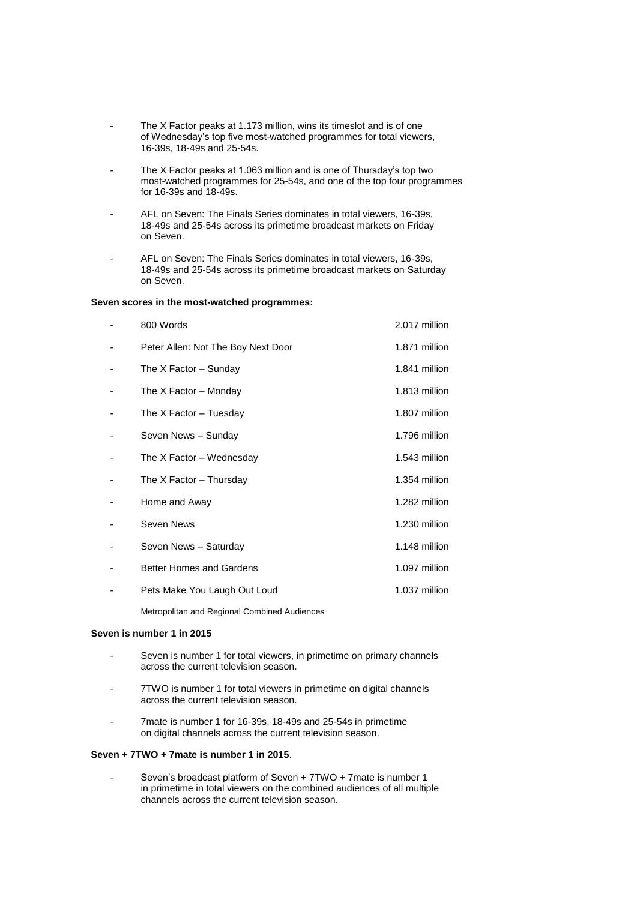- The X Factor peaks at 1.173 million, wins its timeslot and is of one of Wednesday's top five most-watched programmes for total viewers, 16-39s, 18-49s and 25-54s.
- The X Factor peaks at 1.063 million and is one of Thursday's top two most-watched programmes for 25-54s, and one of the top four programmes for 16-39s and 18-49s.
- AFL on Seven: The Finals Series dominates in total viewers, 16-39s, 18-49s and 25-54s across its primetime broadcast markets on Friday on Seven.
- AFL on Seven: The Finals Series dominates in total viewers, 16-39s, 18-49s and 25-54s across its primetime broadcast markets on Saturday on Seven.

#### **Seven scores in the most-watched programmes:**

| 800 Words                                    | 2.017 million |
|----------------------------------------------|---------------|
| Peter Allen: Not The Boy Next Door           | 1.871 million |
| The X Factor – Sunday                        | 1.841 million |
| The X Factor – Monday                        | 1.813 million |
| The X Factor - Tuesday                       | 1.807 million |
| Seven News - Sunday                          | 1.796 million |
| The X Factor - Wednesday                     | 1.543 million |
| The X Factor - Thursday                      | 1.354 million |
| Home and Away                                | 1.282 million |
| Seven News                                   | 1.230 million |
| Seven News - Saturday                        | 1.148 million |
| <b>Better Homes and Gardens</b>              | 1.097 million |
| Pets Make You Laugh Out Loud                 | 1.037 million |
| Metropolitan and Regional Combined Audiences |               |

#### **Seven is number 1 in 2015**

- Seven is number 1 for total viewers, in primetime on primary channels across the current television season.
- 7TWO is number 1 for total viewers in primetime on digital channels across the current television season.
- 7mate is number 1 for 16-39s, 18-49s and 25-54s in primetime on digital channels across the current television season.

### **Seven + 7TWO + 7mate is number 1 in 2015**.

Seven's broadcast platform of Seven + 7TWO + 7mate is number 1 in primetime in total viewers on the combined audiences of all multiple channels across the current television season.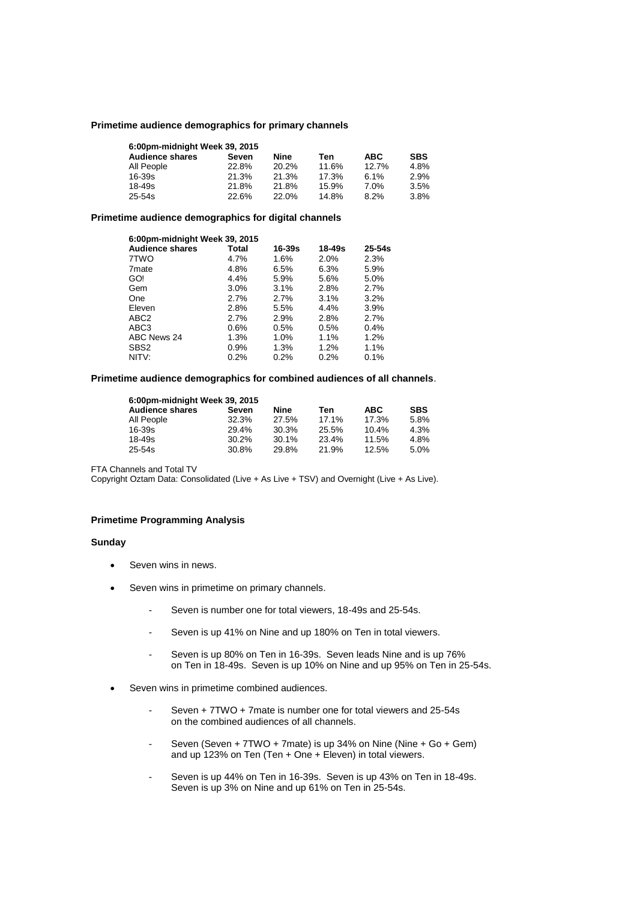# **Primetime audience demographics for primary channels**

| 6:00pm-midnight Week 39, 2015 |       |       |       |       |            |  |  |
|-------------------------------|-------|-------|-------|-------|------------|--|--|
| <b>Audience shares</b>        | Seven | Nine  | Ten   | ABC.  | <b>SBS</b> |  |  |
| All People                    | 22.8% | 20.2% | 11.6% | 12.7% | 4.8%       |  |  |
| $16 - 39s$                    | 21.3% | 21.3% | 17.3% | 6.1%  | 2.9%       |  |  |
| $18 - 49s$                    | 21.8% | 21.8% | 15.9% | 7.0%  | 3.5%       |  |  |
| $25 - 54s$                    | 22.6% | 22.0% | 14.8% | 8.2%  | 3.8%       |  |  |

### **Primetime audience demographics for digital channels**

| 6:00pm-midnight Week 39, 2015 |         |        |        |            |  |  |
|-------------------------------|---------|--------|--------|------------|--|--|
| <b>Audience shares</b>        | Total   | 16-39s | 18-49s | $25 - 54s$ |  |  |
| 7TWO                          | 4.7%    | 1.6%   | 2.0%   | 2.3%       |  |  |
| 7 <sub>mate</sub>             | 4.8%    | 6.5%   | 6.3%   | 5.9%       |  |  |
| GO!                           | 4.4%    | 5.9%   | 5.6%   | 5.0%       |  |  |
| Gem                           | $3.0\%$ | 3.1%   | 2.8%   | 2.7%       |  |  |
| One                           | 2.7%    | 2.7%   | 3.1%   | 3.2%       |  |  |
| Eleven                        | 2.8%    | 5.5%   | 4.4%   | 3.9%       |  |  |
| ABC <sub>2</sub>              | 2.7%    | 2.9%   | 2.8%   | 2.7%       |  |  |
| ABC3                          | $0.6\%$ | 0.5%   | 0.5%   | 0.4%       |  |  |
| ABC News 24                   | 1.3%    | 1.0%   | 1.1%   | 1.2%       |  |  |
| SBS <sub>2</sub>              | $0.9\%$ | 1.3%   | 1.2%   | 1.1%       |  |  |
| NITV:                         | 0.2%    | 0.2%   | 0.2%   | 0.1%       |  |  |

### **Primetime audience demographics for combined audiences of all channels**.

| 6:00pm-midnight Week 39, 2015 |          |       |       |            |            |  |  |
|-------------------------------|----------|-------|-------|------------|------------|--|--|
| <b>Audience shares</b>        | Seven    | Nine  | Ten   | <b>ABC</b> | <b>SBS</b> |  |  |
| All People                    | 32.3%    | 27.5% | 17.1% | 17.3%      | 5.8%       |  |  |
| 16-39s                        | 29.4%    | 30.3% | 25.5% | 10.4%      | 4.3%       |  |  |
| 18-49s                        | $30.2\%$ | 30.1% | 23.4% | 11.5%      | 4.8%       |  |  |
| 25-54s                        | 30.8%    | 29.8% | 21.9% | 12.5%      | 5.0%       |  |  |

FTA Channels and Total TV

Copyright Oztam Data: Consolidated (Live + As Live + TSV) and Overnight (Live + As Live).

# **Primetime Programming Analysis**

# **Sunday**

- Seven wins in news.
- Seven wins in primetime on primary channels.
	- Seven is number one for total viewers, 18-49s and 25-54s.
	- Seven is up 41% on Nine and up 180% on Ten in total viewers.
	- Seven is up 80% on Ten in 16-39s. Seven leads Nine and is up 76% on Ten in 18-49s. Seven is up 10% on Nine and up 95% on Ten in 25-54s.
- Seven wins in primetime combined audiences.
	- Seven + 7TWO + 7mate is number one for total viewers and 25-54s on the combined audiences of all channels.
	- Seven (Seven + 7TWO + 7mate) is up 34% on Nine (Nine + Go + Gem) and up 123% on Ten (Ten + One + Eleven) in total viewers.
	- Seven is up 44% on Ten in 16-39s. Seven is up 43% on Ten in 18-49s. Seven is up 3% on Nine and up 61% on Ten in 25-54s.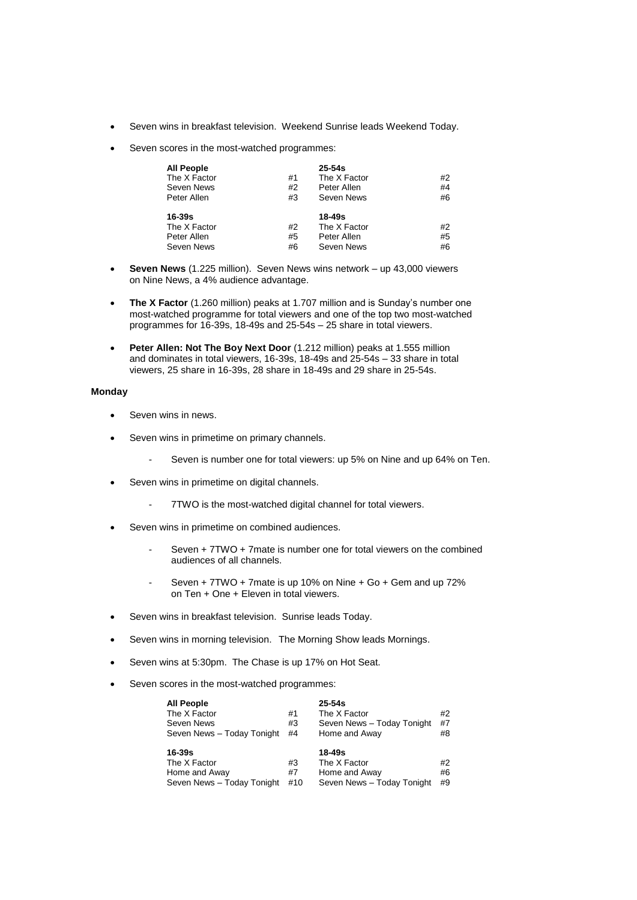- Seven wins in breakfast television. Weekend Sunrise leads Weekend Today.
- Seven scores in the most-watched programmes:

| <b>All People</b><br>The X Factor<br>Seven News<br>Peter Allen | #1<br>#2<br>#3 | $25 - 54s$<br>The X Factor<br>Peter Allen<br>Seven News | #2<br>#4<br>#6 |
|----------------------------------------------------------------|----------------|---------------------------------------------------------|----------------|
| $16 - 39s$<br>The X Factor                                     | #2             | $18 - 49s$<br>The X Factor                              | #2             |
| Peter Allen<br>Seven News                                      | #5<br>#6       | Peter Allen<br>Seven News                               | #5<br>#6       |

- **Seven News** (1.225 million). Seven News wins network up 43,000 viewers on Nine News, a 4% audience advantage.
- **The X Factor** (1.260 million) peaks at 1.707 million and is Sunday's number one most-watched programme for total viewers and one of the top two most-watched programmes for 16-39s, 18-49s and 25-54s – 25 share in total viewers.
- **Peter Allen: Not The Boy Next Door** (1.212 million) peaks at 1.555 million and dominates in total viewers, 16-39s, 18-49s and 25-54s – 33 share in total viewers, 25 share in 16-39s, 28 share in 18-49s and 29 share in 25-54s.

# **Monday**

- Seven wins in news.
- Seven wins in primetime on primary channels.
	- Seven is number one for total viewers: up 5% on Nine and up 64% on Ten.
- Seven wins in primetime on digital channels.
	- 7TWO is the most-watched digital channel for total viewers.
- Seven wins in primetime on combined audiences.
	- Seven + 7TWO + 7mate is number one for total viewers on the combined audiences of all channels.
	- Seven + 7TWO + 7mate is up 10% on Nine + Go + Gem and up 72% on Ten + One + Eleven in total viewers.
- Seven wins in breakfast television. Sunrise leads Today.
- Seven wins in morning television. The Morning Show leads Mornings.
- Seven wins at 5:30pm. The Chase is up 17% on Hot Seat.
- Seven scores in the most-watched programmes:

| <b>All People</b><br>The X Factor<br>Seven News<br>Seven News - Today Tonight | #1<br>#3<br>#4  | $25 - 54s$<br>The X Factor<br>Seven News - Today Tonight<br>Home and Away | #2<br>#7<br>#8 |
|-------------------------------------------------------------------------------|-----------------|---------------------------------------------------------------------------|----------------|
| 16-39s<br>The X Factor<br>Home and Away<br>Seven News - Today Tonight         | #3<br>#7<br>#10 | $18 - 49s$<br>The X Factor<br>Home and Away<br>Seven News - Today Tonight | #2<br>#6<br>#9 |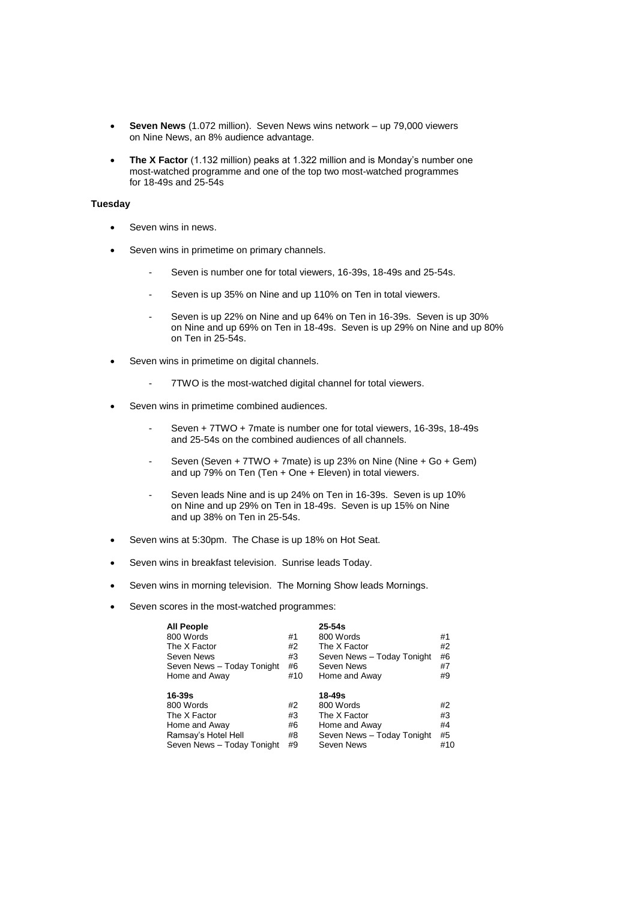- **Seven News** (1.072 million). Seven News wins network up 79,000 viewers on Nine News, an 8% audience advantage.
- **The X Factor** (1.132 million) peaks at 1.322 million and is Monday's number one most-watched programme and one of the top two most-watched programmes for 18-49s and 25-54s

# **Tuesday**

- Seven wins in news.
- Seven wins in primetime on primary channels.
	- Seven is number one for total viewers, 16-39s, 18-49s and 25-54s.
	- Seven is up 35% on Nine and up 110% on Ten in total viewers.
	- Seven is up 22% on Nine and up 64% on Ten in 16-39s. Seven is up 30% on Nine and up 69% on Ten in 18-49s. Seven is up 29% on Nine and up 80% on Ten in 25-54s.
- Seven wins in primetime on digital channels.
	- 7TWO is the most-watched digital channel for total viewers.
- Seven wins in primetime combined audiences.
	- Seven + 7TWO + 7mate is number one for total viewers, 16-39s, 18-49s and 25-54s on the combined audiences of all channels.
	- Seven (Seven + 7TWO + 7mate) is up 23% on Nine (Nine + Go + Gem) and up 79% on Ten (Ten + One + Eleven) in total viewers.
	- Seven leads Nine and is up 24% on Ten in 16-39s. Seven is up 10% on Nine and up 29% on Ten in 18-49s. Seven is up 15% on Nine and up 38% on Ten in 25-54s.
- Seven wins at 5:30pm. The Chase is up 18% on Hot Seat.
- Seven wins in breakfast television. Sunrise leads Today.
- Seven wins in morning television. The Morning Show leads Mornings.
- Seven scores in the most-watched programmes:

| <b>All People</b><br>800 Words<br>The X Factor<br>Seven News<br>Seven News - Today Tonight<br>Home and Away   | #1<br>#2<br>#3<br>#6<br>#10 | $25 - 54s$<br>800 Words<br>The X Factor<br>Seven News - Today Tonight<br>Seven News<br>Home and Away | #1<br>#2<br>#6<br>#7<br>#9  |
|---------------------------------------------------------------------------------------------------------------|-----------------------------|------------------------------------------------------------------------------------------------------|-----------------------------|
| $16 - 39s$<br>800 Words<br>The X Factor<br>Home and Away<br>Ramsay's Hotel Hell<br>Seven News - Today Tonight | #2<br>#3<br>#6<br>#8<br>#9  | 18-49s<br>800 Words<br>The X Factor<br>Home and Away<br>Seven News - Today Tonight<br>Seven News     | #2<br>#3<br>#4<br>#5<br>#10 |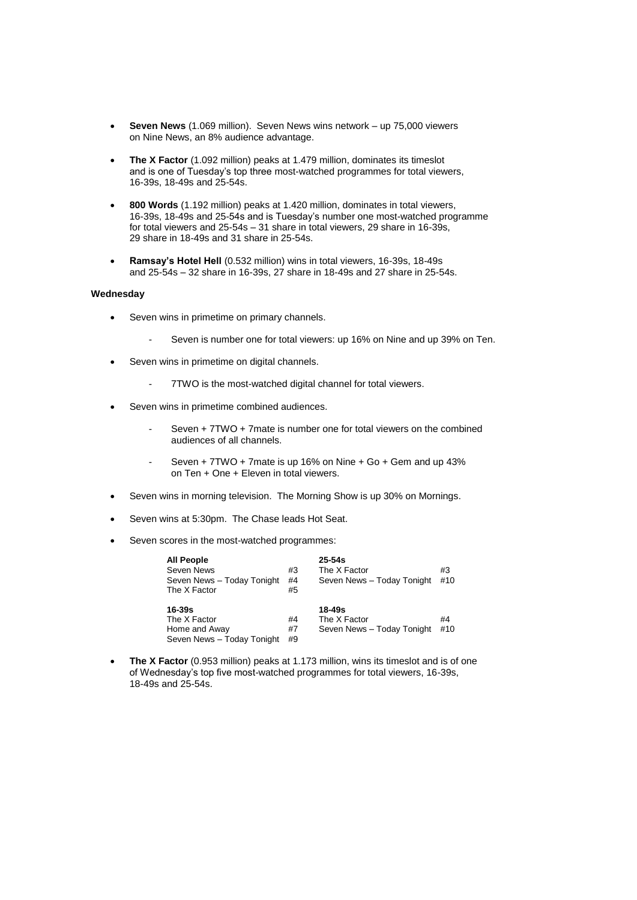- **Seven News** (1.069 million). Seven News wins network up 75,000 viewers on Nine News, an 8% audience advantage.
- **The X Factor** (1.092 million) peaks at 1.479 million, dominates its timeslot and is one of Tuesday's top three most-watched programmes for total viewers, 16-39s, 18-49s and 25-54s.
- **800 Words** (1.192 million) peaks at 1.420 million, dominates in total viewers, 16-39s, 18-49s and 25-54s and is Tuesday's number one most-watched programme for total viewers and 25-54s – 31 share in total viewers, 29 share in 16-39s, 29 share in 18-49s and 31 share in 25-54s.
- **Ramsay's Hotel Hell** (0.532 million) wins in total viewers, 16-39s, 18-49s and 25-54s – 32 share in 16-39s, 27 share in 18-49s and 27 share in 25-54s.

# **Wednesday**

- Seven wins in primetime on primary channels.
	- Seven is number one for total viewers: up 16% on Nine and up 39% on Ten.
- Seven wins in primetime on digital channels.
	- 7TWO is the most-watched digital channel for total viewers.
- Seven wins in primetime combined audiences.
	- Seven + 7TWO + 7 mate is number one for total viewers on the combined audiences of all channels.
	- Seven + 7TWO + 7mate is up 16% on Nine + Go + Gem and up 43% on Ten + One + Eleven in total viewers.
- Seven wins in morning television. The Morning Show is up 30% on Mornings.
- Seven wins at 5:30pm. The Chase leads Hot Seat.
- Seven scores in the most-watched programmes:

| <b>All People</b>          |    | $25 - 54s$                 |     |
|----------------------------|----|----------------------------|-----|
| Seven News                 | #3 | The X Factor               | #3  |
| Seven News - Today Tonight | #4 | Seven News - Today Tonight | #10 |
| The X Factor               | #5 |                            |     |
| 16-39s                     |    | $18 - 49s$                 |     |
| The X Factor               | #4 | The X Factor               | #4  |
|                            |    |                            |     |
| Home and Away              | #7 | Seven News - Today Tonight | #10 |

 **The X Factor** (0.953 million) peaks at 1.173 million, wins its timeslot and is of one of Wednesday's top five most-watched programmes for total viewers, 16-39s, 18-49s and 25-54s.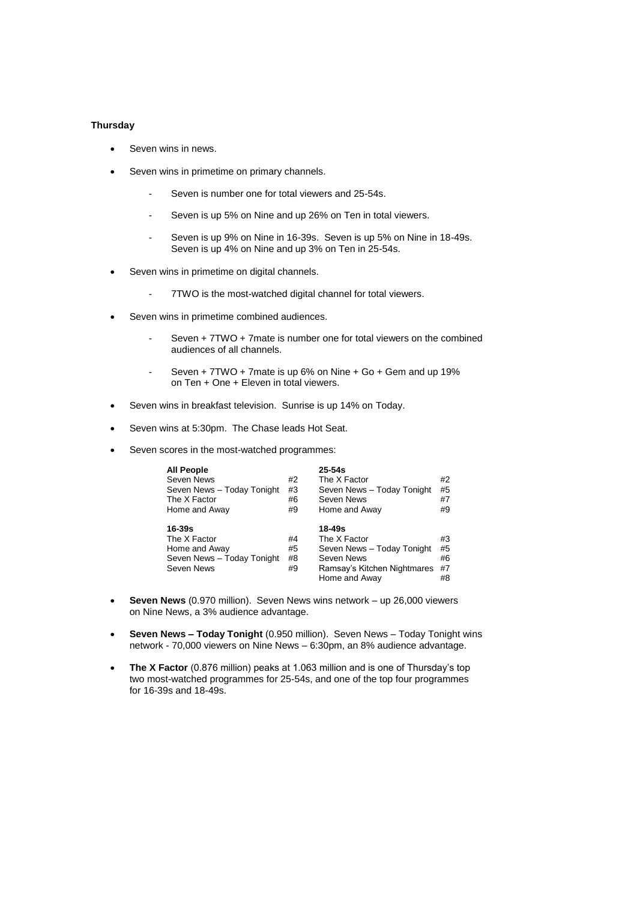# **Thursday**

- Seven wins in news.
- Seven wins in primetime on primary channels.
	- Seven is number one for total viewers and 25-54s.
	- Seven is up 5% on Nine and up 26% on Ten in total viewers.
	- Seven is up 9% on Nine in 16-39s. Seven is up 5% on Nine in 18-49s. Seven is up 4% on Nine and up 3% on Ten in 25-54s.
- Seven wins in primetime on digital channels.
	- 7TWO is the most-watched digital channel for total viewers.
- Seven wins in primetime combined audiences.
	- Seven + 7TWO + 7mate is number one for total viewers on the combined audiences of all channels.
	- Seven + 7TWO + 7mate is up 6% on Nine + Go + Gem and up 19% on Ten + One + Eleven in total viewers.
- Seven wins in breakfast television. Sunrise is up 14% on Today.
- Seven wins at 5:30pm. The Chase leads Hot Seat.
- Seven scores in the most-watched programmes:

| <b>All People</b>          |    | $25 - 54s$                  |    |
|----------------------------|----|-----------------------------|----|
| Seven News                 | #2 | The X Factor                | #2 |
| Seven News - Today Tonight | #3 | Seven News - Today Tonight  | #5 |
| The X Factor               | #6 | Seven News                  | #7 |
| Home and Away              | #9 | Home and Away               | #9 |
|                            |    |                             |    |
| 16-39s                     |    | 18-49s                      |    |
| The X Factor               | #4 | The X Factor                | #3 |
| Home and Away              | #5 | Seven News - Today Tonight  | #5 |
| Seven News - Today Tonight | #8 | Seven News                  | #6 |
| Seven News                 | #9 | Ramsay's Kitchen Nightmares | #7 |

- **Seven News** (0.970 million). Seven News wins network up 26,000 viewers on Nine News, a 3% audience advantage.
- **Seven News – Today Tonight** (0.950 million). Seven News Today Tonight wins network - 70,000 viewers on Nine News – 6:30pm, an 8% audience advantage.
- **The X Factor** (0.876 million) peaks at 1.063 million and is one of Thursday's top two most-watched programmes for 25-54s, and one of the top four programmes for 16-39s and 18-49s.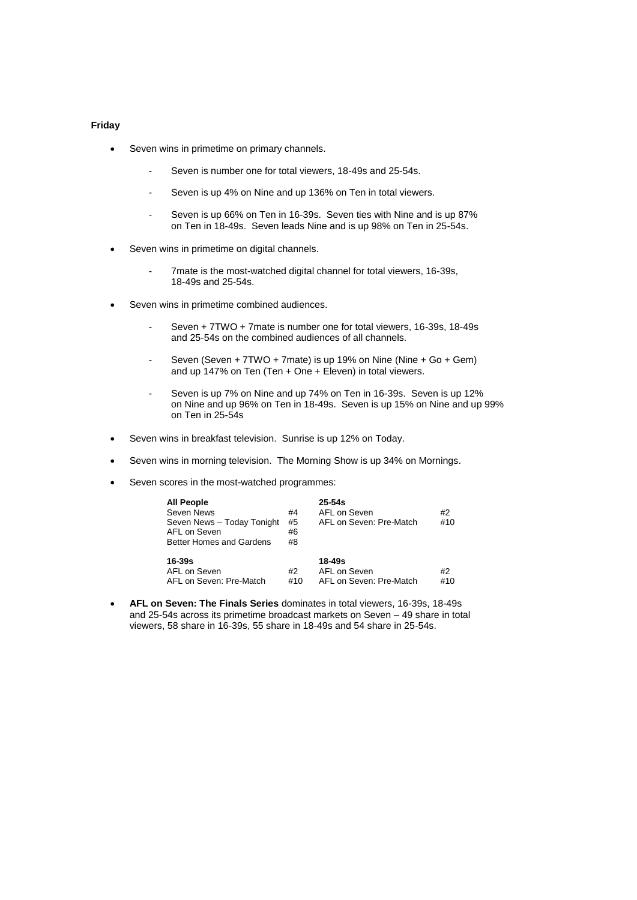# **Friday**

- Seven wins in primetime on primary channels.
	- Seven is number one for total viewers, 18-49s and 25-54s.
	- Seven is up 4% on Nine and up 136% on Ten in total viewers.
	- Seven is up 66% on Ten in 16-39s. Seven ties with Nine and is up 87% on Ten in 18-49s. Seven leads Nine and is up 98% on Ten in 25-54s.
- Seven wins in primetime on digital channels.
	- 7mate is the most-watched digital channel for total viewers, 16-39s, 18-49s and 25-54s.
- Seven wins in primetime combined audiences.
	- Seven + 7TWO + 7mate is number one for total viewers, 16-39s, 18-49s and 25-54s on the combined audiences of all channels.
	- Seven (Seven + 7TWO + 7mate) is up 19% on Nine (Nine + Go + Gem) and up 147% on Ten (Ten + One + Eleven) in total viewers.
	- Seven is up 7% on Nine and up 74% on Ten in 16-39s. Seven is up 12% on Nine and up 96% on Ten in 18-49s. Seven is up 15% on Nine and up 99% on Ten in 25-54s
- Seven wins in breakfast television. Sunrise is up 12% on Today.
- Seven wins in morning television. The Morning Show is up 34% on Mornings.
- Seven scores in the most-watched programmes:

| <b>All People</b>          |     | $25 - 54s$              |     |
|----------------------------|-----|-------------------------|-----|
| Seven News                 | #4  | AFL on Seven            | #2  |
| Seven News - Today Tonight | #5  | AFL on Seven: Pre-Match | #10 |
| AFL on Seven               | #6  |                         |     |
| Better Homes and Gardens   | #8  |                         |     |
|                            |     |                         |     |
| $16 - 39s$                 |     | $18 - 49s$              |     |
| AFL on Seven               | #2  | AFL on Seven            | #2  |
| AFL on Seven: Pre-Match    | #10 | AFL on Seven: Pre-Match | #10 |

 **AFL on Seven: The Finals Series** dominates in total viewers, 16-39s, 18-49s and 25-54s across its primetime broadcast markets on Seven – 49 share in total viewers, 58 share in 16-39s, 55 share in 18-49s and 54 share in 25-54s.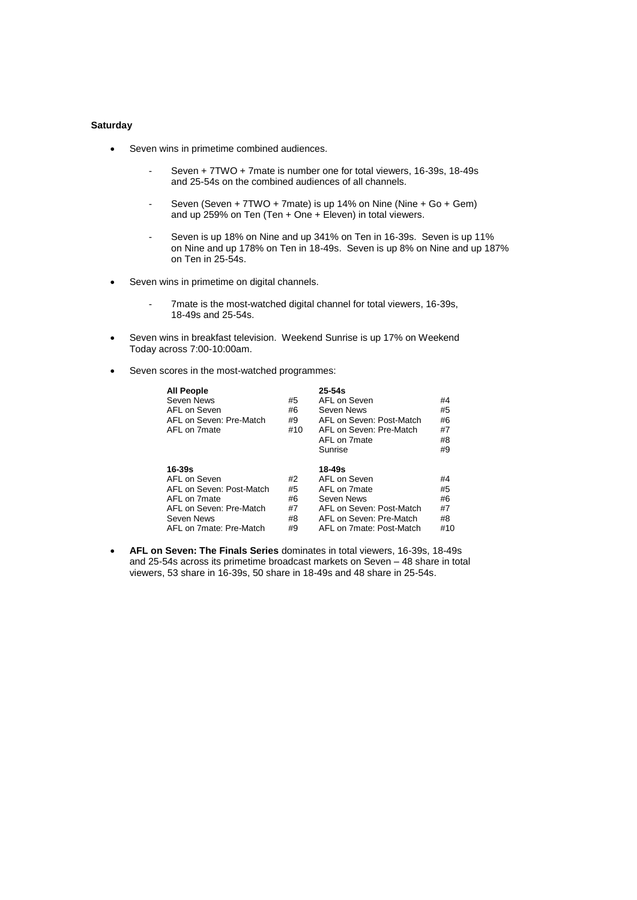# **Saturday**

- Seven wins in primetime combined audiences.
	- Seven + 7TWO + 7mate is number one for total viewers, 16-39s, 18-49s and 25-54s on the combined audiences of all channels.
	- Seven (Seven + 7TWO + 7mate) is up 14% on Nine (Nine + Go + Gem) and up 259% on Ten (Ten + One + Eleven) in total viewers.
	- Seven is up 18% on Nine and up 341% on Ten in 16-39s. Seven is up 11% on Nine and up 178% on Ten in 18-49s. Seven is up 8% on Nine and up 187% on Ten in 25-54s.
- Seven wins in primetime on digital channels.
	- 7mate is the most-watched digital channel for total viewers, 16-39s, 18-49s and 25-54s.
- Seven wins in breakfast television. Weekend Sunrise is up 17% on Weekend Today across 7:00-10:00am.
- Seven scores in the most-watched programmes:

| <b>All People</b><br>Seven News<br>AFL on Seven<br>AFL on Seven: Pre-Match<br>AFL on 7mate                                                 | #5<br>#6<br>#9<br>#10            | $25-54s$<br>AFL on Seven<br>Seven News<br>AFL on Seven: Post-Match<br>AFL on Seven: Pre-Match<br>AFL on 7mate<br>Sunrise                    | #4<br>#5<br>#6<br>#7<br>#8<br>#9  |
|--------------------------------------------------------------------------------------------------------------------------------------------|----------------------------------|---------------------------------------------------------------------------------------------------------------------------------------------|-----------------------------------|
| $16 - 39s$<br>AFL on Seven<br>AFL on Seven: Post-Match<br>AFL on 7mate<br>AFL on Seven: Pre-Match<br>Seven News<br>AFL on 7mate: Pre-Match | #2<br>#5<br>#6<br>#7<br>#8<br>#9 | $18 - 49s$<br>AFL on Seven<br>AFL on 7mate<br>Seven News<br>AFL on Seven: Post-Match<br>AFL on Seven: Pre-Match<br>AFL on 7mate: Post-Match | #4<br>#5<br>#6<br>#7<br>#8<br>#10 |

 **AFL on Seven: The Finals Series** dominates in total viewers, 16-39s, 18-49s and 25-54s across its primetime broadcast markets on Seven – 48 share in total viewers, 53 share in 16-39s, 50 share in 18-49s and 48 share in 25-54s.